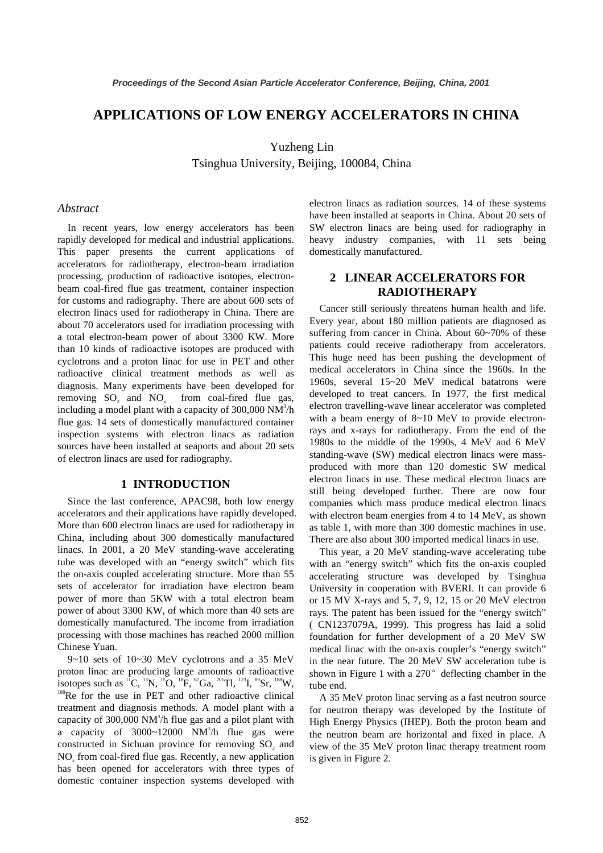## **APPLICATIONS OF LOW ENERGY ACCELERATORS IN CHINA**

Yuzheng Lin

Tsinghua University, Beijing, 100084, China

#### *Abstract*

In recent years, low energy accelerators has been rapidly developed for medical and industrial applications. This paper presents the current applications of accelerators for radiotherapy, electron-beam irradiation processing, production of radioactive isotopes, electronbeam coal-fired flue gas treatment, container inspection for customs and radiography. There are about 600 sets of electron linacs used for radiotherapy in China. There are about 70 accelerators used for irradiation processing with a total electron-beam power of about 3300 KW. More than 10 kinds of radioactive isotopes are produced with cyclotrons and a proton linac for use in PET and other radioactive clinical treatment methods as well as diagnosis. Many experiments have been developed for removing  $SO_2$  and  $NO_x$  from coal-fired flue gas, including a model plant with a capacity of 300,000  $NM^3/h$ flue gas. 14 sets of domestically manufactured container inspection systems with electron linacs as radiation sources have been installed at seaports and about 20 sets of electron linacs are used for radiography.

#### **1 INTRODUCTION**

Since the last conference, APAC98, both low energy accelerators and their applications have rapidly developed. More than 600 electron linacs are used for radiotherapy in China, including about 300 domestically manufactured linacs. In 2001, a 20 MeV standing-wave accelerating tube was developed with an "energy switch" which fits the on-axis coupled accelerating structure. More than 55 sets of accelerator for irradiation have electron beam power of more than 5KW with a total electron beam power of about 3300 KW, of which more than 40 sets are domestically manufactured. The income from irradiation processing with those machines has reached 2000 million Chinese Yuan.

9~10 sets of 10~30 MeV cyclotrons and a 35 MeV proton linac are producing large amounts of radioactive isotopes such as  ${}^{17}C$ ,  ${}^{13}N$ ,  ${}^{15}O$ ,  ${}^{18}F$ ,  ${}^{67}Ga$ ,  ${}^{201}TI$ ,  ${}^{123}I$ ,  ${}^{89}Sr$ ,  ${}^{188}W$ ,  ${}^{188}Re$  for the use in PET and other radioactive clinical treatment and diagnosis methods. A model plant with a capacity of 300,000 NM $^3$ /h flue gas and a pilot plant with a capacity of  $3000~12000$  NM<sup>3</sup>/h flue gas were constructed in Sichuan province for removing  $SO_2$  and NO<sub>x</sub> from coal-fired flue gas. Recently, a new application has been opened for accelerators with three types of domestic container inspection systems developed with

electron linacs as radiation sources. 14 of these systems have been installed at seaports in China. About 20 sets of SW electron linacs are being used for radiography in heavy industry companies, with 11 sets being domestically manufactured.

#### **2 LINEAR ACCELERATORS FOR RADIOTHERAPY**

Cancer still seriously threatens human health and life. Every year, about 180 million patients are diagnosed as suffering from cancer in China. About 60~70% of these patients could receive radiotherapy from accelerators. This huge need has been pushing the development of medical accelerators in China since the 1960s. In the 1960s, several 15~20 MeV medical batatrons were developed to treat cancers. In 1977, the first medical electron travelling-wave linear accelerator was completed with a beam energy of 8~10 MeV to provide electronrays and x-rays for radiotherapy. From the end of the 1980s to the middle of the 1990s, 4 MeV and 6 MeV standing-wave (SW) medical electron linacs were massproduced with more than 120 domestic SW medical electron linacs in use. These medical electron linacs are still being developed further. There are now four companies which mass produce medical electron linacs with electron beam energies from 4 to 14 MeV, as shown as table 1, with more than 300 domestic machines in use. There are also about 300 imported medical linacs in use.

This year, a 20 MeV standing-wave accelerating tube with an "energy switch" which fits the on-axis coupled accelerating structure was developed by Tsinghua University in cooperation with BVERI. It can provide 6 or 15 MV X-rays and 5, 7, 9, 12, 15 or 20 MeV electron rays. The patent has been issued for the "energy switch" ( CN1237079A, 1999). This progress has laid a solid foundation for further development of a 20 MeV SW medical linac with the on-axis coupler's "energy switch" in the near future. The 20 MeV SW acceleration tube is shown in Figure 1 with a  $270^{\circ}$  deflecting chamber in the tube end.

A 35 MeV proton linac serving as a fast neutron source for neutron therapy was developed by the Institute of High Energy Physics (IHEP). Both the proton beam and the neutron beam are horizontal and fixed in place. A view of the 35 MeV proton linac therapy treatment room is given in Figure 2.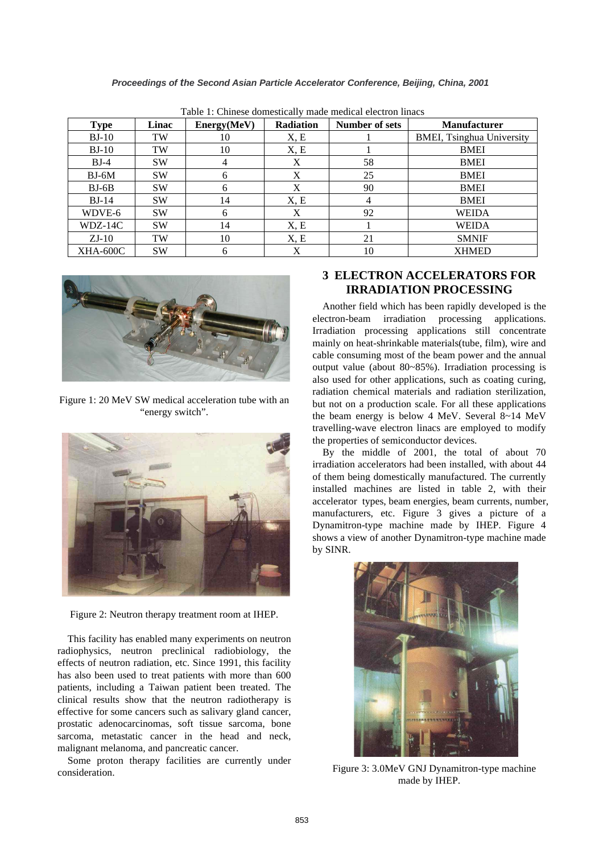| <b>Type</b> | Linac     | Energy(MeV) | <b>Radiation</b> | <b>Number of sets</b> | <b>Manufacturer</b>              |
|-------------|-----------|-------------|------------------|-----------------------|----------------------------------|
| $BJ-10$     | TW        | 10          | X, E             |                       | <b>BMEI, Tsinghua University</b> |
| $BJ-10$     | TW        | 10          | X, E             |                       | <b>BMEI</b>                      |
| $BJ-4$      | <b>SW</b> | 4           | X                | 58                    | <b>BMEI</b>                      |
| $BJ-6M$     | <b>SW</b> | 6           | X                | 25                    | <b>BMEI</b>                      |
| $BJ-6B$     | <b>SW</b> | 6           | X                | 90                    | <b>BMEI</b>                      |
| $BJ-14$     | <b>SW</b> | 14          | X, E             | 4                     | <b>BMEI</b>                      |
| WDVE-6      | <b>SW</b> | 6           | X                | 92                    | WEIDA                            |
| WDZ-14C     | <b>SW</b> | 14          | X, E             |                       | <b>WEIDA</b>                     |
| $ZJ-10$     | TW        | 10          | X, E             | 21                    | <b>SMNIF</b>                     |
| XHA-600C    | <b>SW</b> | 6           | X                | 10                    | <b>XHMED</b>                     |

Table 1: Chinese domestically made medical electron linacs



Figure 1: 20 MeV SW medical acceleration tube with an "energy switch".



Figure 2: Neutron therapy treatment room at IHEP.

This facility has enabled many experiments on neutron radiophysics, neutron preclinical radiobiology, the effects of neutron radiation, etc. Since 1991, this facility has also been used to treat patients with more than 600 patients, including a Taiwan patient been treated. The clinical results show that the neutron radiotherapy is effective for some cancers such as salivary gland cancer, prostatic adenocarcinomas, soft tissue sarcoma, bone sarcoma, metastatic cancer in the head and neck, malignant melanoma, and pancreatic cancer.

Some proton therapy facilities are currently under consideration.

## **3 ELECTRON ACCELERATORS FOR IRRADIATION PROCESSING**

Another field which has been rapidly developed is the electron-beam irradiation processing applications. Irradiation processing applications still concentrate mainly on heat-shrinkable materials(tube, film), wire and cable consuming most of the beam power and the annual output value (about 80~85%). Irradiation processing is also used for other applications, such as coating curing, radiation chemical materials and radiation sterilization, but not on a production scale. For all these applications the beam energy is below 4 MeV. Several 8~14 MeV travelling-wave electron linacs are employed to modify the properties of semiconductor devices.

By the middle of 2001, the total of about 70 irradiation accelerators had been installed, with about 44 of them being domestically manufactured. The currently installed machines are listed in table 2, with their accelerator types, beam energies, beam currents, number, manufacturers, etc. Figure 3 gives a picture of a Dynamitron-type machine made by IHEP. Figure 4 shows a view of another Dynamitron-type machine made by SINR.



Figure 3: 3.0MeV GNJ Dynamitron-type machine made by IHEP.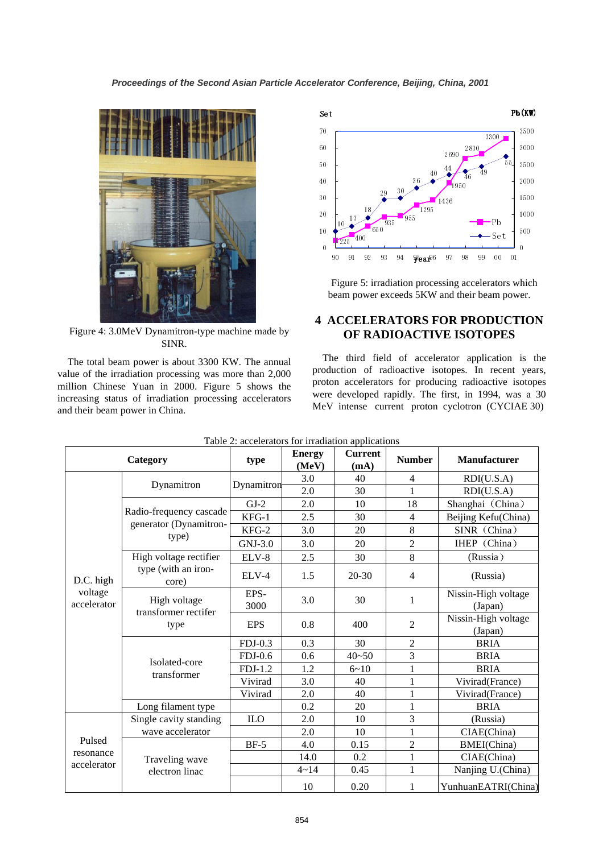

Figure 4: 3.0MeV Dynamitron-type machine made by SINR.

The total beam power is about 3300 KW. The annual value of the irradiation processing was more than 2,000 million Chinese Yuan in 2000. Figure 5 shows the increasing status of irradiation processing accelerators and their beam power in China.



Figure 5: irradiation processing accelerators which beam power exceeds 5KW and their beam power.

#### **4 ACCELERATORS FOR PRODUCTION OF RADIOACTIVE ISOTOPES**

The third field of accelerator application is the production of radioactive isotopes. In recent years, proton accelerators for producing radioactive isotopes were developed rapidly. The first, in 1994, was a 30 MeV intense current proton cyclotron (CYCIAE 30)

| Category                            |                                 | type         | <b>Energy</b><br>(MeV) | <b>Current</b><br>(mA) | <b>Number</b>  | <b>Manufacturer</b>            |
|-------------------------------------|---------------------------------|--------------|------------------------|------------------------|----------------|--------------------------------|
| D.C. high<br>voltage<br>accelerator |                                 | Dynamitron   | 3.0                    | 40                     | $\overline{4}$ | RDI(U.S.A)                     |
|                                     | Dynamitron                      |              | 2.0                    | 30                     | $\mathbf{1}$   | RDI(U.S.A)                     |
|                                     |                                 | $GJ-2$       | 2.0                    | 10                     | 18             | Shanghai (China)               |
|                                     | Radio-frequency cascade         | $KFG-1$      | 2.5                    | 30                     | $\overline{4}$ | Beijing Kefu(China)            |
|                                     | generator (Dynamitron-<br>type) | KFG-2        | 3.0                    | 20                     | $\,8\,$        | SINR (China)                   |
|                                     |                                 | $GNJ-3.0$    | 3.0                    | 20                     | $\overline{2}$ | IHEP (China)                   |
|                                     | High voltage rectifier          | ELV-8        | 2.5                    | 30                     | 8              | (Russia)                       |
|                                     | type (with an iron-<br>core)    | ELV-4        | 1.5                    | $20 - 30$              | $\overline{4}$ | (Russia)                       |
|                                     | High voltage                    | EPS-<br>3000 | 3.0                    | 30                     | $\mathbf{1}$   | Nissin-High voltage<br>(Japan) |
|                                     | transformer rectifer<br>type    | <b>EPS</b>   | 0.8                    | 400                    | $\overline{2}$ | Nissin-High voltage<br>(Japan) |
|                                     |                                 | $FDJ-0.3$    | 0.3                    | 30                     | $\overline{2}$ | <b>BRIA</b>                    |
|                                     | Isolated-core                   | $FDJ-0.6$    | 0.6                    | $40 - 50$              | 3              | <b>BRIA</b>                    |
|                                     | transformer                     | $FDJ-1.2$    | 1.2                    | $6 - 10$               | $\mathbf{1}$   | <b>BRIA</b>                    |
|                                     |                                 | Vivirad      | 3.0                    | 40                     | $\mathbf{1}$   | Vivirad(France)                |
|                                     |                                 | Vivirad      | 2.0                    | 40                     | $\mathbf{1}$   | Vivirad(France)                |
|                                     | Long filament type              |              | 0.2                    | 20                     | $\mathbf{1}$   | <b>BRIA</b>                    |
| Pulsed<br>resonance<br>accelerator  | Single cavity standing          | <b>ILO</b>   | 2.0                    | 10                     | 3              | (Russia)                       |
|                                     | wave accelerator                |              | 2.0                    | 10                     | $\mathbf{1}$   | CIAE(China)                    |
|                                     |                                 | $BF-5$       | 4.0                    | 0.15                   | $\overline{2}$ | <b>BMEI(China)</b>             |
|                                     | Traveling wave                  |              | 14.0                   | 0.2                    | $\mathbf{1}$   | CIAE(China)                    |
|                                     | electron linac                  |              | $4 - 14$               | 0.45                   | $\mathbf{1}$   | Nanjing U.(China)              |
|                                     |                                 |              | 10                     | 0.20                   | $\mathbf{1}$   | YunhuanEATRI(China)            |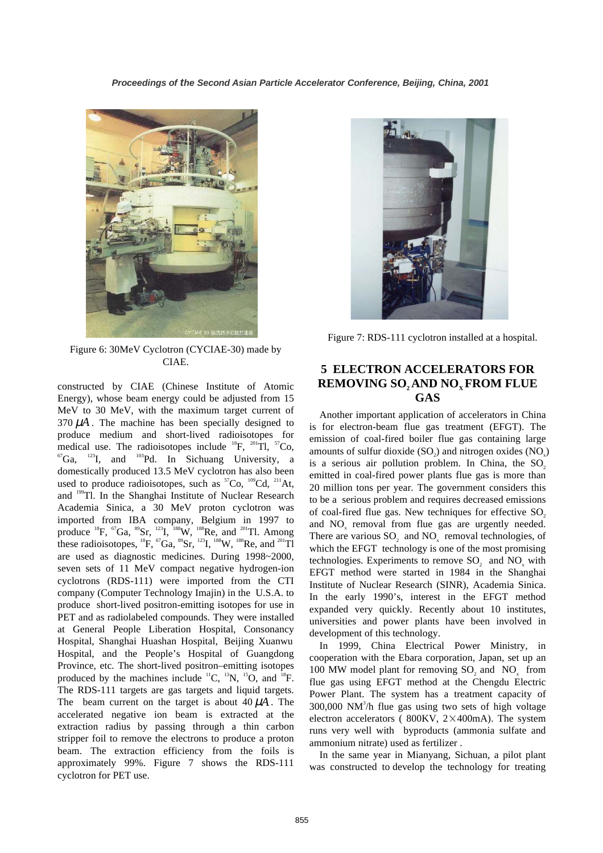

Figure 6: 30MeV Cyclotron (CYCIAE-30) made by CIAE.

constructed by CIAE (Chinese Institute of Atomic Energy), whose beam energy could be adjusted from 15 MeV to 30 MeV, with the maximum target current of  $370 \mu A$ . The machine has been specially designed to produce medium and short-lived radioisotopes for medical use. The radioisotopes include  ${}^{18}F$ ,  ${}^{201}Tl$ ,  ${}^{57}Co$ ,  ${}^{67}Ga$ ,  ${}^{123}I$ , and  ${}^{103}Pd$ . In Sichuang University, a domestically produced 13.5 MeV cyclotron has also been used to produce radioisotopes, such as  ${}^{57}Co$ ,  ${}^{109}Cd$ ,  ${}^{211}At$ , and 199Tl. In the Shanghai Institute of Nuclear Research Academia Sinica, a 30 MeV proton cyclotron was imported from IBA company, Belgium in 1997 to produce  ${}^{18}F$ ,  ${}^{67}Ga$ ,  ${}^{89}Sr$ ,  ${}^{123}I$ ,  ${}^{188}W$ ,  ${}^{188}Re$ , and  ${}^{201}Tl$ . Among these radioisotopes,  ${}^{18}F$ ,  ${}^{67}Ga$ ,  ${}^{89}Sr$ ,  ${}^{123}I$ ,  ${}^{188}W$ ,  ${}^{188}Re$ , and  ${}^{201}T1$ are used as diagnostic medicines. During 1998~2000, seven sets of 11 MeV compact negative hydrogen-ion cyclotrons (RDS-111) were imported from the CTI company (Computer Technology Imajin) in the U.S.A. to produce short-lived positron-emitting isotopes for use in PET and as radiolabeled compounds. They were installed at General People Liberation Hospital, Consonancy Hospital, Shanghai Huashan Hospital, Beijing Xuanwu Hospital, and the People's Hospital of Guangdong Province, etc. The short-lived positron–emitting isotopes produced by the machines include  ${}^{11}C$ ,  ${}^{13}N$ ,  ${}^{15}O$ , and  ${}^{18}F$ . The RDS-111 targets are gas targets and liquid targets. The beam current on the target is about  $40 \mu A$ . The accelerated negative ion beam is extracted at the extraction radius by passing through a thin carbon stripper foil to remove the electrons to produce a proton beam. The extraction efficiency from the foils is approximately 99%. Figure 7 shows the RDS-111 cyclotron for PET use.



Figure 7: RDS-111 cyclotron installed at a hospital.

## **5 ELECTRON ACCELERATORS FOR REMOVING SO, AND NO<sub>x</sub> FROM FLUE GAS**

Another important application of accelerators in China is for electron-beam flue gas treatment (EFGT). The emission of coal-fired boiler flue gas containing large amounts of sulfur dioxide  $(SO<sub>2</sub>)$  and nitrogen oxides  $(NO<sub>2</sub>)$ is a serious air pollution problem. In China, the  $SO<sub>2</sub>$ emitted in coal-fired power plants flue gas is more than 20 million tons per year. The government considers this to be a serious problem and requires decreased emissions of coal-fired flue gas. New techniques for effective SO<sub>2</sub> and NO<sub>x</sub> removal from flue gas are urgently needed. There are various SO<sub>2</sub> and NO<sub>2</sub> removal technologies, of which the EFGT technology is one of the most promising technologies. Experiments to remove SO<sub>2</sub> and NO<sub>2</sub> with EFGT method were started in 1984 in the Shanghai Institute of Nuclear Research (SINR), Academia Sinica. In the early 1990's, interest in the EFGT method expanded very quickly. Recently about 10 institutes, universities and power plants have been involved in development of this technology.

In 1999, China Electrical Power Ministry, in cooperation with the Ebara corporation, Japan, set up an 100 MW model plant for removing SO<sub>2</sub> and NO<sub>2</sub> from flue gas using EFGT method at the Chengdu Electric Power Plant. The system has a treatment capacity of  $300,000$  NM<sup>3</sup>/h flue gas using two sets of high voltage electron accelerators ( $800\text{KV}$ ,  $2\times400\text{mA}$ ). The system runs very well with byproducts (ammonia sulfate and ammonium nitrate) used as fertilizer .

In the same year in Mianyang, Sichuan, a pilot plant was constructed to develop the technology for treating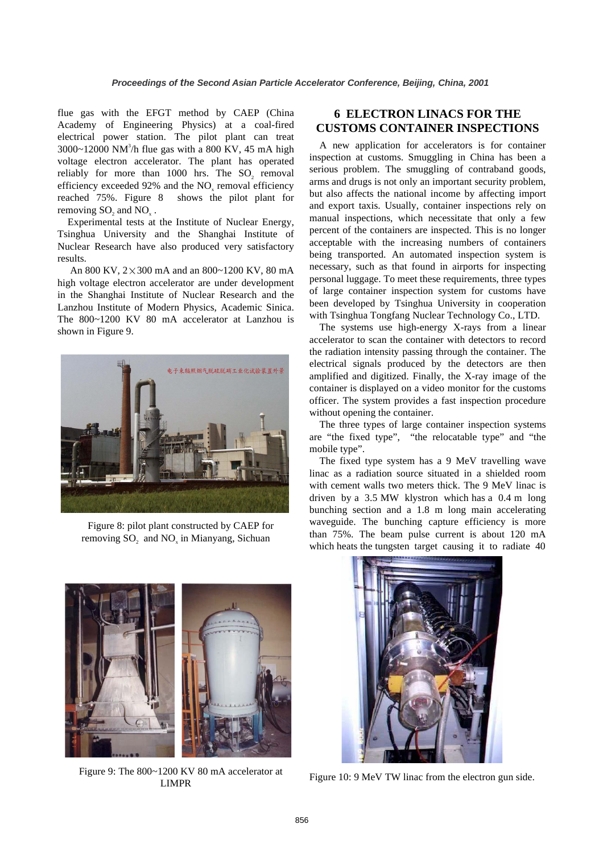flue gas with the EFGT method by CAEP (China Academy of Engineering Physics) at a coal-fired electrical power station. The pilot plant can treat  $3000 \sim 12000$  NM<sup>3</sup>/h flue gas with a 800 KV, 45 mA high voltage electron accelerator. The plant has operated reliably for more than 1000 hrs. The SO<sub>2</sub> removal efficiency exceeded 92% and the NO<sub>x</sub> removal efficiency reached 75%. Figure 8 shows the pilot plant for removing SO<sub>2</sub> and NO<sub>2</sub>.

Experimental tests at the Institute of Nuclear Energy, Tsinghua University and the Shanghai Institute of Nuclear Research have also produced very satisfactory results.

An 800 KV,  $2 \times 300$  mA and an 800~1200 KV, 80 mA high voltage electron accelerator are under development in the Shanghai Institute of Nuclear Research and the Lanzhou Institute of Modern Physics, Academic Sinica. The 800~1200 KV 80 mA accelerator at Lanzhou is shown in Figure 9.



Figure 8: pilot plant constructed by CAEP for removing SO<sub>2</sub> and NO<sub>2</sub> in Mianyang, Sichuan

# **6 ELECTRON LINACS FOR THE CUSTOMS CONTAINER INSPECTIONS**

A new application for accelerators is for container inspection at customs. Smuggling in China has been a serious problem. The smuggling of contraband goods, arms and drugs is not only an important security problem, but also affects the national income by affecting import and export taxis. Usually, container inspections rely on manual inspections, which necessitate that only a few percent of the containers are inspected. This is no longer acceptable with the increasing numbers of containers being transported. An automated inspection system is necessary, such as that found in airports for inspecting personal luggage. To meet these requirements, three types of large container inspection system for customs have been developed by Tsinghua University in cooperation with Tsinghua Tongfang Nuclear Technology Co., LTD.

The systems use high-energy X-rays from a linear accelerator to scan the container with detectors to record the radiation intensity passing through the container. The electrical signals produced by the detectors are then amplified and digitized. Finally, the X-ray image of the container is displayed on a video monitor for the customs officer. The system provides a fast inspection procedure without opening the container.

The three types of large container inspection systems are "the fixed type", "the relocatable type" and "the mobile type".

The fixed type system has a 9 MeV travelling wave linac as a radiation source situated in a shielded room with cement walls two meters thick. The 9 MeV linac is driven by a 3.5 MW klystron which has a 0.4 m long bunching section and a 1.8 m long main accelerating waveguide. The bunching capture efficiency is more than 75%. The beam pulse current is about 120 mA which heats the tungsten target causing it to radiate 40



Figure 9: The 800~1200 KV 80 mA accelerator at LIMPR



Figure 10: 9 MeV TW linac from the electron gun side.